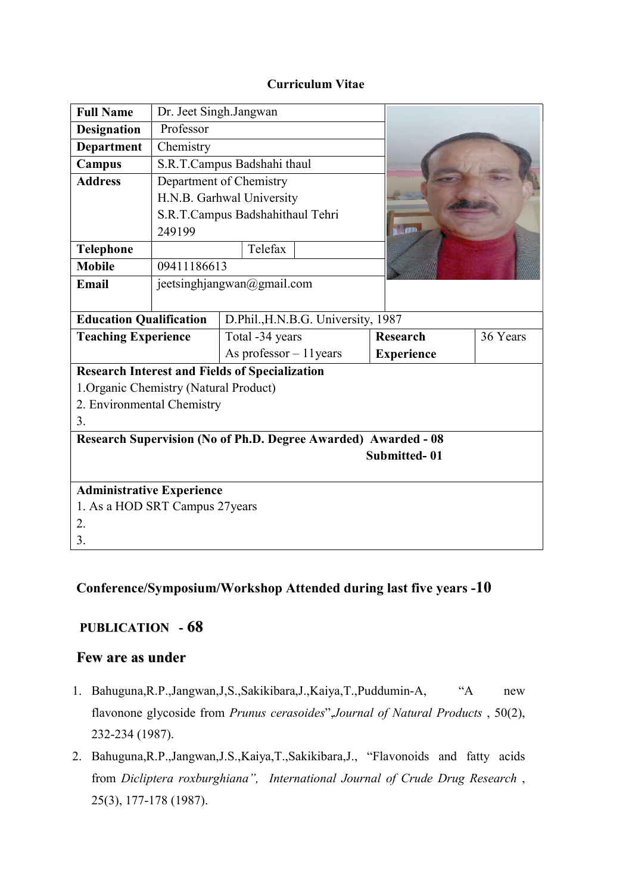## Curriculum Vitae

| <b>Full Name</b>                                                      | Dr. Jeet Singh.Jangwan     |                                  |                   |          |
|-----------------------------------------------------------------------|----------------------------|----------------------------------|-------------------|----------|
| <b>Designation</b>                                                    | Professor                  |                                  |                   |          |
| <b>Department</b>                                                     | Chemistry                  |                                  |                   |          |
| Campus                                                                |                            | S.R.T.Campus Badshahi thaul      |                   |          |
| <b>Address</b>                                                        |                            | Department of Chemistry          |                   |          |
|                                                                       |                            | H.N.B. Garhwal University        |                   |          |
|                                                                       |                            | S.R.T.Campus Badshahithaul Tehri |                   |          |
|                                                                       | 249199                     |                                  |                   |          |
| <b>Telephone</b>                                                      |                            | Telefax                          |                   |          |
| <b>Mobile</b>                                                         | 09411186613                |                                  |                   |          |
| Email                                                                 | jeetsinghjangwan@gmail.com |                                  |                   |          |
|                                                                       |                            |                                  |                   |          |
| <b>Education Qualification</b><br>D.Phil., H.N.B.G. University, 1987  |                            |                                  |                   |          |
| <b>Teaching Experience</b>                                            |                            | Total -34 years                  | <b>Research</b>   | 36 Years |
|                                                                       |                            | As professor - 11 years          | <b>Experience</b> |          |
| <b>Research Interest and Fields of Specialization</b>                 |                            |                                  |                   |          |
| 1. Organic Chemistry (Natural Product)                                |                            |                                  |                   |          |
| 2. Environmental Chemistry                                            |                            |                                  |                   |          |
| 3.                                                                    |                            |                                  |                   |          |
| <b>Research Supervision (No of Ph.D. Degree Awarded) Awarded - 08</b> |                            |                                  |                   |          |
| <b>Submitted-01</b>                                                   |                            |                                  |                   |          |
|                                                                       |                            |                                  |                   |          |
| <b>Administrative Experience</b>                                      |                            |                                  |                   |          |
| 1. As a HOD SRT Campus 27 years                                       |                            |                                  |                   |          |
| 2.                                                                    |                            |                                  |                   |          |
| 3.                                                                    |                            |                                  |                   |          |

## Conference/Symposium/Workshop Attended during last five years -10

## PUBLICATION - 68

## Few are as under

- 1. Bahuguna, R.P., Jangwan, J.S., Sakikibara, J., Kaiya, T., Puddumin-A, "A new flavonone glycoside from Prunus cerasoides", Journal of Natural Products, 50(2), 232-234 (1987).
- 2. Bahuguna,R.P.,Jangwan,J.S.,Kaiya,T.,Sakikibara,J., "Flavonoids and fatty acids from Dicliptera roxburghiana", International Journal of Crude Drug Research , 25(3), 177-178 (1987).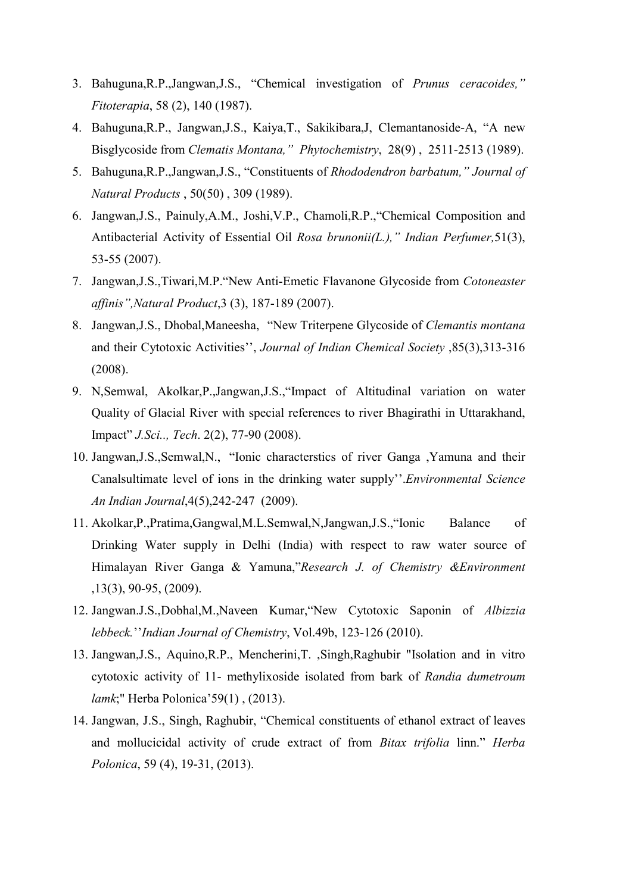- 3. Bahuguna,R.P.,Jangwan,J.S., "Chemical investigation of Prunus ceracoides," Fitoterapia, 58 (2), 140 (1987).
- 4. Bahuguna,R.P., Jangwan,J.S., Kaiya,T., Sakikibara,J, Clemantanoside-A, "A new Bisglycoside from Clematis Montana," Phytochemistry, 28(9) , 2511-2513 (1989).
- 5. Bahuguna,R.P.,Jangwan,J.S., "Constituents of Rhododendron barbatum," Journal of Natural Products , 50(50) , 309 (1989).
- 6. Jangwan,J.S., Painuly,A.M., Joshi,V.P., Chamoli,R.P.,"Chemical Composition and Antibacterial Activity of Essential Oil Rosa brunonii(L.)," Indian Perfumer, 51(3), 53-55 (2007).
- 7. Jangwan,J.S.,Tiwari,M.P."New Anti-Emetic Flavanone Glycoside from Cotoneaster affinis",Natural Product,3 (3), 187-189 (2007).
- 8. Jangwan,J.S., Dhobal,Maneesha, "New Triterpene Glycoside of Clemantis montana and their Cytotoxic Activities'', Journal of Indian Chemical Society ,85(3),313-316 (2008).
- 9. N,Semwal, Akolkar,P.,Jangwan,J.S.,"Impact of Altitudinal variation on water Quality of Glacial River with special references to river Bhagirathi in Uttarakhand, Impact" J.Sci.., Tech. 2(2), 77-90 (2008).
- 10. Jangwan,J.S.,Semwal,N., "Ionic characterstics of river Ganga ,Yamuna and their Canalsultimate level of ions in the drinking water supply''.Environmental Science An Indian Journal,4(5),242-247 (2009).
- 11. Akolkar,P.,Pratima,Gangwal,M.L.Semwal,N,Jangwan,J.S.,"Ionic Balance of Drinking Water supply in Delhi (India) with respect to raw water source of Himalayan River Ganga & Yamuna,"Research J. of Chemistry &Environment ,13(3), 90-95, (2009).
- 12. Jangwan.J.S.,Dobhal,M.,Naveen Kumar,"New Cytotoxic Saponin of Albizzia lebbeck.''Indian Journal of Chemistry, Vol.49b, 123-126 (2010).
- 13. Jangwan,J.S., Aquino,R.P., Mencherini,T. ,Singh,Raghubir "Isolation and in vitro cytotoxic activity of 11- methylixoside isolated from bark of Randia dumetroum lamk;" Herba Polonica'59(1) , (2013).
- 14. Jangwan, J.S., Singh, Raghubir, "Chemical constituents of ethanol extract of leaves and mollucicidal activity of crude extract of from Bitax trifolia linn." Herba Polonica, 59 (4), 19-31, (2013).